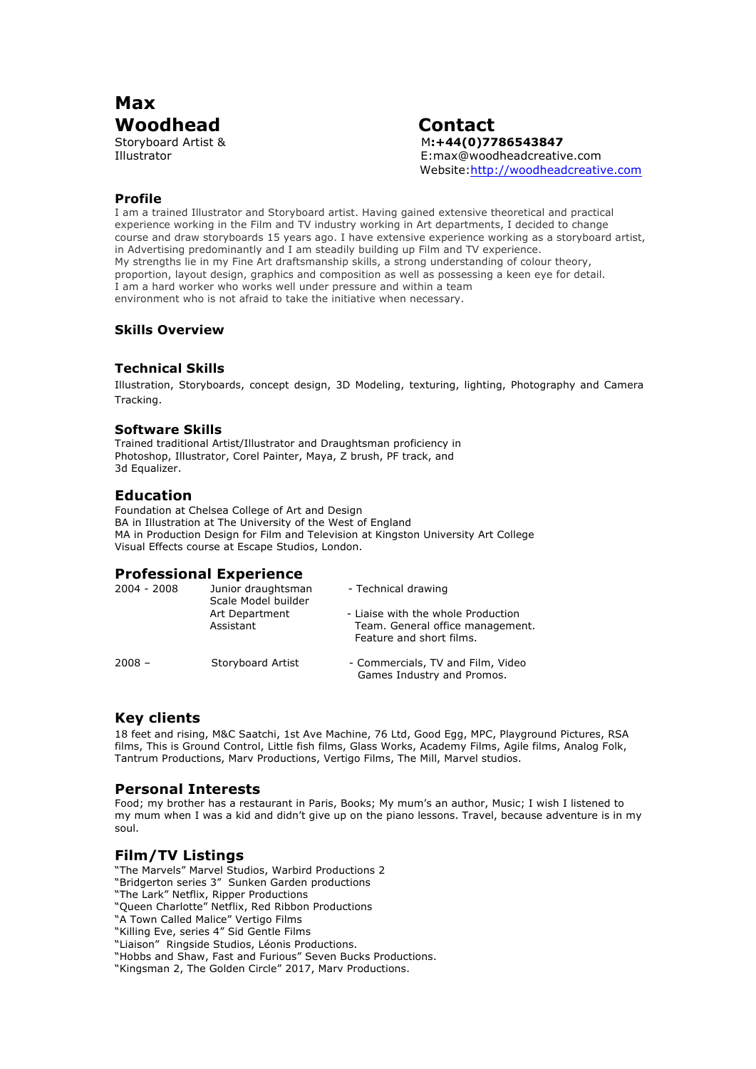

Storyboard Artist & M**:+44(0)7786543847** Illustrator E:max@woodheadcreative.com Website:http://woodheadcreative.com

### **Profile**

I am a trained Illustrator and Storyboard artist. Having gained extensive theoretical and practical experience working in the Film and TV industry working in Art departments, I decided to change course and draw storyboards 15 years ago. I have extensive experience working as a storyboard artist, in Advertising predominantly and I am steadily building up Film and TV experience. My strengths lie in my Fine Art draftsmanship skills, a strong understanding of colour theory, proportion, layout design, graphics and composition as well as possessing a keen eye for detail. I am a hard worker who works well under pressure and within a team environment who is not afraid to take the initiative when necessary.

### **Skills Overview**

### **Technical Skills**

Illustration, Storyboards, concept design, 3D Modeling, texturing, lighting, Photography and Camera Tracking.

#### **Software Skills**

Trained traditional Artist/Illustrator and Draughtsman proficiency in Photoshop, Illustrator, Corel Painter, Maya, Z brush, PF track, and 3d Equalizer.

### **Education**

Foundation at Chelsea College of Art and Design BA in Illustration at The University of the West of England MA in Production Design for Film and Television at Kingston University Art College Visual Effects course at Escape Studios, London.

## **Professional Experience**

| 2004 - 2008 | Junior draughtsman<br>Scale Model builder | - Technical drawing                                                                                |
|-------------|-------------------------------------------|----------------------------------------------------------------------------------------------------|
|             | Art Department<br>Assistant               | - Liaise with the whole Production<br>Team. General office management.<br>Feature and short films. |
| $2008 -$    | Storyboard Artist                         | - Commercials, TV and Film, Video<br>Games Industry and Promos.                                    |

## **Key clients**

18 feet and rising, M&C Saatchi, 1st Ave Machine, 76 Ltd, Good Egg, MPC, Playground Pictures, RSA films, This is Ground Control, Little fish films, Glass Works, Academy Films, Agile films, Analog Folk, Tantrum Productions, Marv Productions, Vertigo Films, The Mill, Marvel studios.

#### **Personal Interests**

Food; my brother has a restaurant in Paris, Books; My mum's an author, Music; I wish I listened to my mum when I was a kid and didn't give up on the piano lessons. Travel, because adventure is in my soul.

## **Film/TV Listings**

"The Marvels" Marvel Studios, Warbird Productions 2 "Bridgerton series 3" Sunken Garden productions "The Lark" Netflix, Ripper Productions "Queen Charlotte" Netflix, Red Ribbon Productions "A Town Called Malice" Vertigo Films "Killing Eve, series 4" Sid Gentle Films "Liaison" Ringside Studios, Léonis Productions. "Hobbs and Shaw, Fast and Furious" Seven Bucks Productions. "Kingsman 2, The Golden Circle" 2017, Marv Productions.